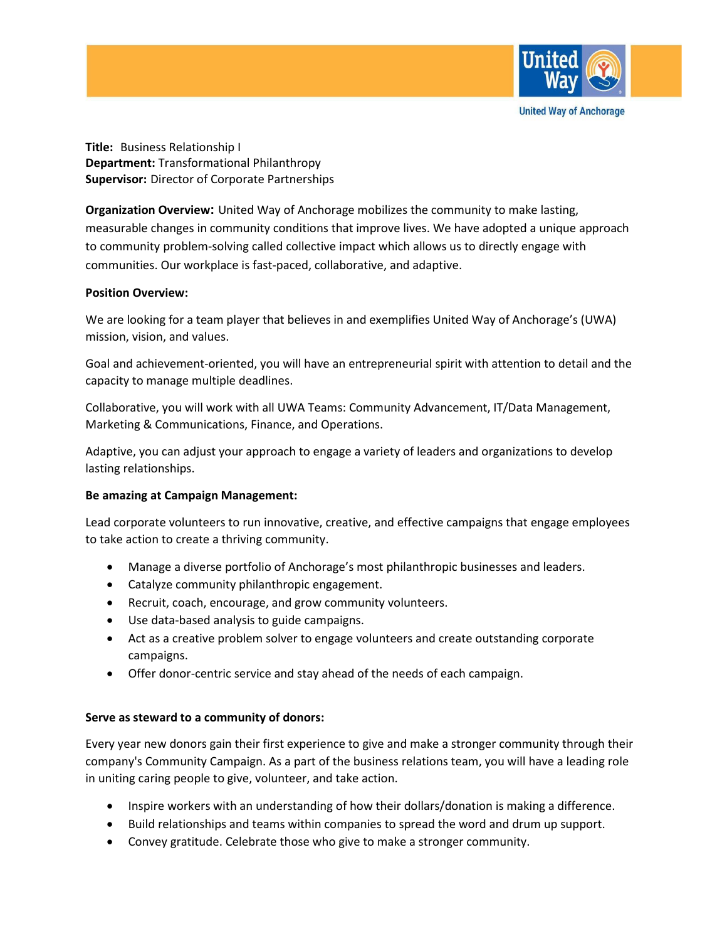

**Title:** Business Relationship I **Department:** Transformational Philanthropy **Supervisor:** Director of Corporate Partnerships

**Organization Overview:** United Way of Anchorage mobilizes the community to make lasting, measurable changes in community conditions that improve lives. We have adopted a unique approach to community problem-solving called collective impact which allows us to directly engage with communities. Our workplace is fast-paced, collaborative, and adaptive.

# **Position Overview:**

We are looking for a team player that believes in and exemplifies United Way of Anchorage's (UWA) mission, vision, and values.

Goal and achievement-oriented, you will have an entrepreneurial spirit with attention to detail and the capacity to manage multiple deadlines.

Collaborative, you will work with all UWA Teams: Community Advancement, IT/Data Management, Marketing & Communications, Finance, and Operations.

Adaptive, you can adjust your approach to engage a variety of leaders and organizations to develop lasting relationships.

# **Be amazing at Campaign Management:**

Lead corporate volunteers to run innovative, creative, and effective campaigns that engage employees to take action to create a thriving community.

- Manage a diverse portfolio of Anchorage's most philanthropic businesses and leaders.
- Catalyze community philanthropic engagement.
- Recruit, coach, encourage, and grow community volunteers.
- Use data-based analysis to guide campaigns.
- Act as a creative problem solver to engage volunteers and create outstanding corporate campaigns.
- Offer donor-centric service and stay ahead of the needs of each campaign.

# **Serve as steward to a community of donors:**

Every year new donors gain their first experience to give and make a stronger community through their company's Community Campaign. As a part of the business relations team, you will have a leading role in uniting caring people to give, volunteer, and take action.

- Inspire workers with an understanding of how their dollars/donation is making a difference.
- Build relationships and teams within companies to spread the word and drum up support.
- Convey gratitude. Celebrate those who give to make a stronger community.